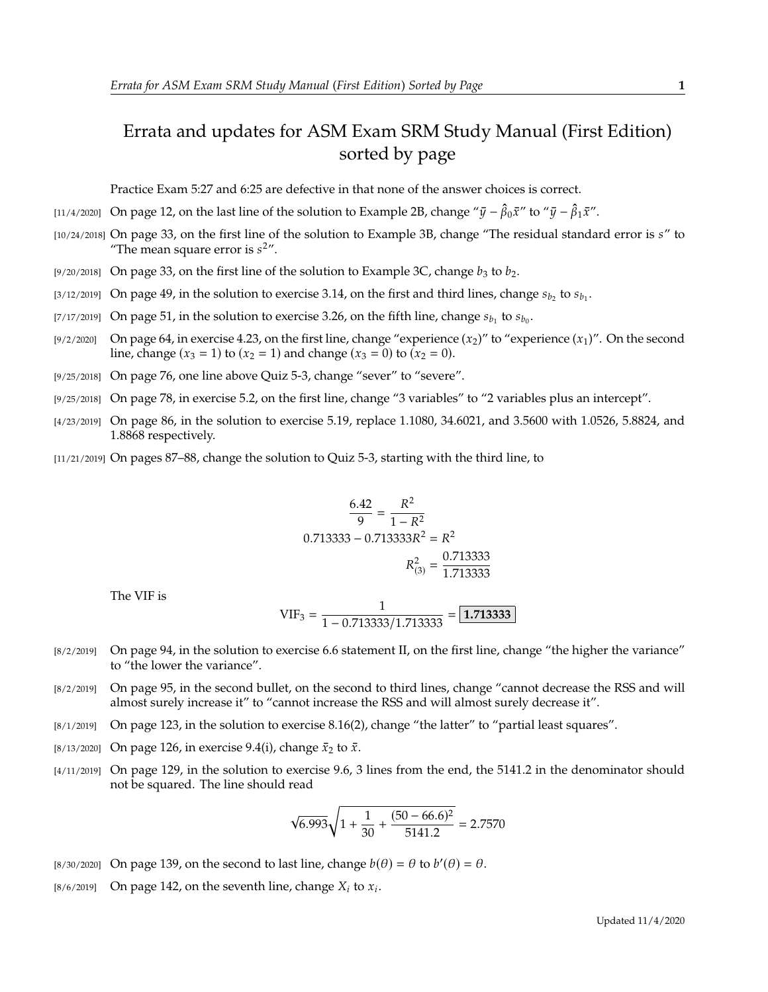## Errata and updates for ASM Exam SRM Study Manual (First Edition) sorted by page

Practice Exam 5:27 and 6:25 are defective in that none of the answer choices is correct.

- [11/4/2020] On page 12, on the last line of the solution to Example 2B, change " $\bar{y} \hat{\beta}_0 \bar{x}$ " to " $\bar{y} \hat{\beta}_1 \bar{x}$ ".
- [10/24/2018] On page 33, on the first line of the solution to Example 3B, change "The residual standard error is s" to "The mean square error is  $s^2$ ".
- [9/20/2018] On page 33, on the first line of the solution to Example 3C, change  $b_3$  to  $b_2$ .
- [3/12/2019] On page 49, in the solution to exercise 3.14, on the first and third lines, change  $s_{b_2}$  to  $s_{b_1}$ .
- [7/17/2019] On page 51, in the solution to exercise 3.26, on the fifth line, change  $s_{b_1}$  to  $s_{b_0}$ .
- [9/2/2020] On page 64, in exercise 4.23, on the first line, change "experience  $(x_2)$ " to "experience  $(x_1)$ ". On the second line, change  $(x_3 = 1)$  to  $(x_2 = 1)$  and change  $(x_3 = 0)$  to  $(x_2 = 0)$ .
- [9/25/2018] On page 76, one line above Quiz 5-3, change "sever" to "severe".
- [9/25/2018] On page 78, in exercise 5.2, on the first line, change "3 variables" to "2 variables plus an intercept".
- [4/23/2019] On page 86, in the solution to exercise 5.19, replace 1.1080, 34.6021, and 3.5600 with 1.0526, 5.8824, and 1.8868 respectively.
- [11/21/2019] On pages 87–88, change the solution to Quiz 5-3, starting with the third line, to

$$
\frac{6.42}{9} = \frac{R^2}{1 - R^2}
$$
  
0.713333 - 0.713333R<sup>2</sup> = R<sup>2</sup>  

$$
R_{(3)}^2 = \frac{0.713333}{1.713333}
$$

The VIF is

VIF<sub>3</sub> = 
$$
\frac{1}{1 - 0.713333/1.713333}
$$
 = 1.713333

- [8/2/2019] On page 94, in the solution to exercise 6.6 statement II, on the first line, change "the higher the variance" to "the lower the variance".
- [8/2/2019] On page 95, in the second bullet, on the second to third lines, change "cannot decrease the RSS and will almost surely increase it" to "cannot increase the RSS and will almost surely decrease it".
- [8/1/2019] On page 123, in the solution to exercise 8.16(2), change "the latter" to "partial least squares".
- [8/13/2020] On page 126, in exercise 9.4(i), change  $\bar{x}_2$  to  $\bar{x}$ .
- [4/11/2019] On page 129, in the solution to exercise 9.6, 3 lines from the end, the 5141.2 in the denominator should not be squared. The line should read

$$
\sqrt{6.993}\sqrt{1+\frac{1}{30}+\frac{(50-66.6)^2}{5141.2}} = 2.7570
$$

- [8/30/2020] On page 139, on the second to last line, change  $b(\theta) = \theta$  to  $b'(\theta) = \theta$ .
- [8/6/2019] On page 142, on the seventh line, change  $X_i$  to  $x_i$ .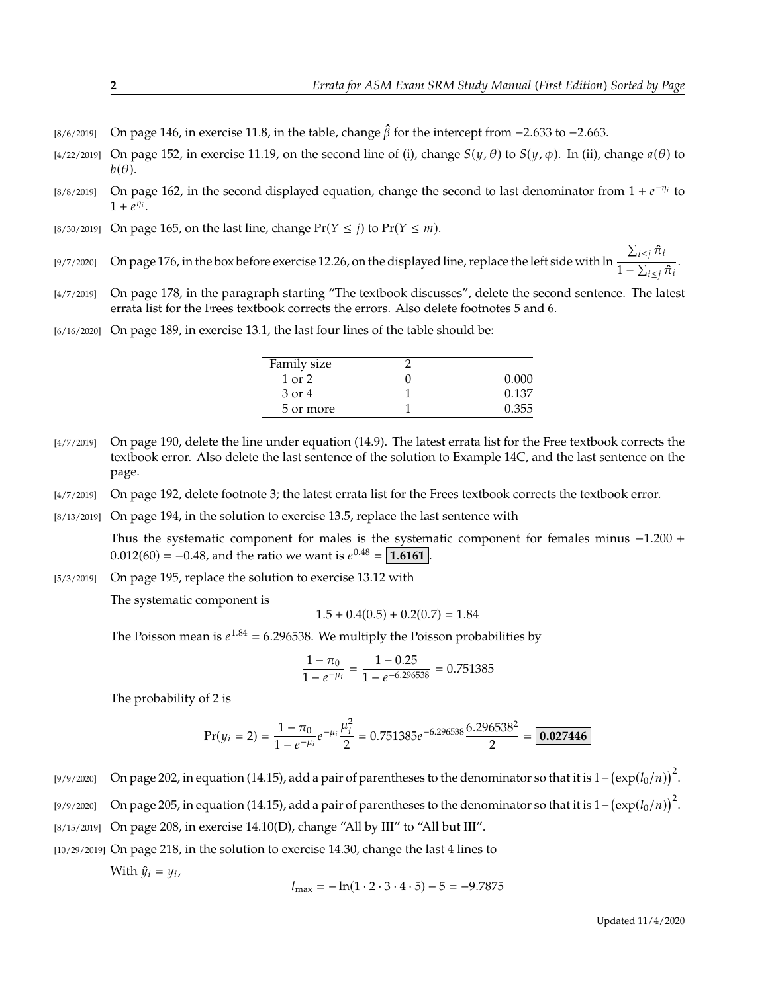- [8/6/2019] On page 146, in exercise 11.8, in the table, change  $\hat{\beta}$  for the intercept from −2.633 to −2.663.
- [4/22/2019] On page 152, in exercise 11.19, on the second line of (i), change  $S(\psi, \theta)$  to  $S(\psi, \phi)$ . In (ii), change  $a(\theta)$  to  $b(\theta)$ .
- [8/8/2019] On page 162, in the second displayed equation, change the second to last denominator from  $1 + e^{-\eta_i}$  to  $1 + e^{\eta_i}$  $1 + \overline{e^{\eta_i}}$ .
- [8/30/2019] On page 165, on the last line, change  $Pr(Y \leq j)$  to  $Pr(Y \leq m)$ .
- [9/7/2020] On page 176, in the box before exercise 12.26, on the displayed line, replace the left side with ln  $\frac{\sum_{i \leq j} \hat{\pi}_i}{\sigma}$  $\frac{1-\sum_{i\leq j}\hat{\pi}_i}{1-\sum_{i\leq j}\hat{\pi}_i}.$
- [4/7/2019] On page 178, in the paragraph starting "The textbook discusses", delete the second sentence. The latest errata list for the Frees textbook corrects the errors. Also delete footnotes 5 and 6.
- [6/16/2020] On page 189, in exercise 13.1, the last four lines of the table should be:

| Family size |       |
|-------------|-------|
| $1$ or $2$  | 0.000 |
| 3 or 4      | 0.137 |
| 5 or more   | 0.355 |
|             |       |

- [4/7/2019] On page 190, delete the line under equation (14.9). The latest errata list for the Free textbook corrects the textbook error. Also delete the last sentence of the solution to Example 14C, and the last sentence on the page.
- [4/7/2019] On page 192, delete footnote 3; the latest errata list for the Frees textbook corrects the textbook error.
- [8/13/2019] On page 194, in the solution to exercise 13.5, replace the last sentence with

Thus the systematic component for males is the systematic component for females minus <sup>−</sup>1.<sup>200</sup> <sup>+</sup>  $0.012(60) = -0.48$ , and the ratio we want is  $e^{0.48} = \boxed{1.6161}$ .

[5/3/2019] On page 195, replace the solution to exercise 13.12 with

The systematic component is

$$
1.5 + 0.4(0.5) + 0.2(0.7) = 1.84
$$

The Poisson mean is  $e^{1.84} = 6.296538$ . We multiply the Poisson probabilities by

$$
\frac{1 - \pi_0}{1 - e^{-\mu_i}} = \frac{1 - 0.25}{1 - e^{-6.296538}} = 0.751385
$$

The probability of 2 is

$$
Pr(y_i = 2) = \frac{1 - \pi_0}{1 - e^{-\mu_i}} e^{-\mu_i} \frac{\mu_i^2}{2} = 0.751385 e^{-6.296538} \frac{6.296538^2}{2} = \boxed{0.027446}
$$

- [9/9/2020] On page 202, in equation (14.15), add a pair of parentheses to the denominator so that it is  $1-(\exp(l_0/n))^2$ . [9/9/2020] On page 205, in equation (14.15), add a pair of parentheses to the denominator so that it is  $1-(\exp(l_0/n))^2$ .
- [8/15/2019] On page 208, in exercise 14.10(D), change "All by III" to "All but III".
- [10/29/2019] On page 218, in the solution to exercise 14.30, change the last 4 lines to

With  $\hat{y}_i = y_i$ ,

$$
l_{\text{max}} = -\ln(1 \cdot 2 \cdot 3 \cdot 4 \cdot 5) - 5 = -9.7875
$$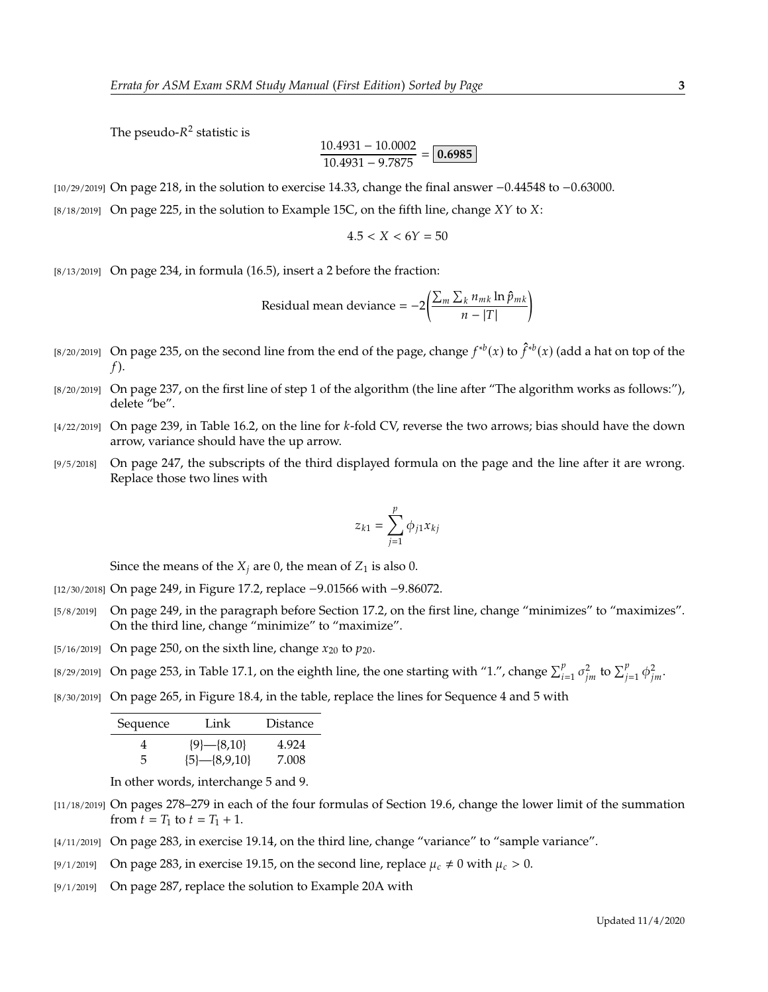The pseudo- $R^2$  statistic is

$$
\frac{10.4931 - 10.0002}{10.4931 - 9.7875} = \boxed{0.6985}
$$

[10/29/2019] On page 218, in the solution to exercise 14.33, change the final answer <sup>−</sup>0.<sup>44548</sup> to <sup>−</sup>0.63000.

 $[8/18/2019]$  On page 225, in the solution to Example 15C, on the fifth line, change  $XY$  to  $X$ :

$$
4.5 < X < 6Y = 50
$$

[8/13/2019] On page 234, in formula (16.5), insert a 2 before the fraction:

Residual mean deviance = 
$$
-2\left(\frac{\sum_m \sum_k n_{mk} \ln \hat{p}_{mk}}{n - |T|}\right)
$$

- [8/20/2019] On page 235, on the second line from the end of the page, change  $f^{*b}(x)$  to  $\hat{f}^{*b}(x)$  (add a hat on top of the  $f$ ).
- [8/20/2019] On page 237, on the first line of step 1 of the algorithm (the line after "The algorithm works as follows:"), delete "be".
- $[4/22/2019]$  On page 239, in Table 16.2, on the line for k-fold CV, reverse the two arrows; bias should have the down arrow, variance should have the up arrow.
- [9/5/2018] On page 247, the subscripts of the third displayed formula on the page and the line after it are wrong. Replace those two lines with

$$
z_{k1} = \sum_{j=1}^p \phi_{j1} x_{kj}
$$

Since the means of the  $X_i$  are 0, the mean of  $Z_1$  is also 0.

[12/30/2018] On page 249, in Figure 17.2, replace <sup>−</sup>9.<sup>01566</sup> with <sup>−</sup>9.86072.

- [5/8/2019] On page 249, in the paragraph before Section 17.2, on the first line, change "minimizes" to "maximizes". On the third line, change "minimize" to "maximize".
- [5/16/2019] On page 250, on the sixth line, change  $x_{20}$  to  $p_{20}$ .
- [8/29/2019] On page 253, in Table 17.1, on the eighth line, the one starting with "1.", change  $\sum_{i=1}^{p} \sigma_{jm}^2$  to  $\sum_{j=1}^{p} \phi_{jm}^2$ .
- [8/30/2019] On page 265, in Figure 18.4, in the table, replace the lines for Sequence 4 and 5 with

| Sequence | Link            | <b>Distance</b> |
|----------|-----------------|-----------------|
|          | ${9}$ -{8,10}   | 4.924           |
| 5        | ${5}$ -{8,9,10} | 7.008           |

In other words, interchange 5 and 9.

- [11/18/2019] On pages 278–279 in each of the four formulas of Section 19.6, change the lower limit of the summation from  $t = T_1$  to  $t = T_1 + 1$ .
- [4/11/2019] On page 283, in exercise 19.14, on the third line, change "variance" to "sample variance".
- [9/1/2019] On page 283, in exercise 19.15, on the second line, replace  $\mu_c \neq 0$  with  $\mu_c > 0$ .
- [9/1/2019] On page 287, replace the solution to Example 20A with